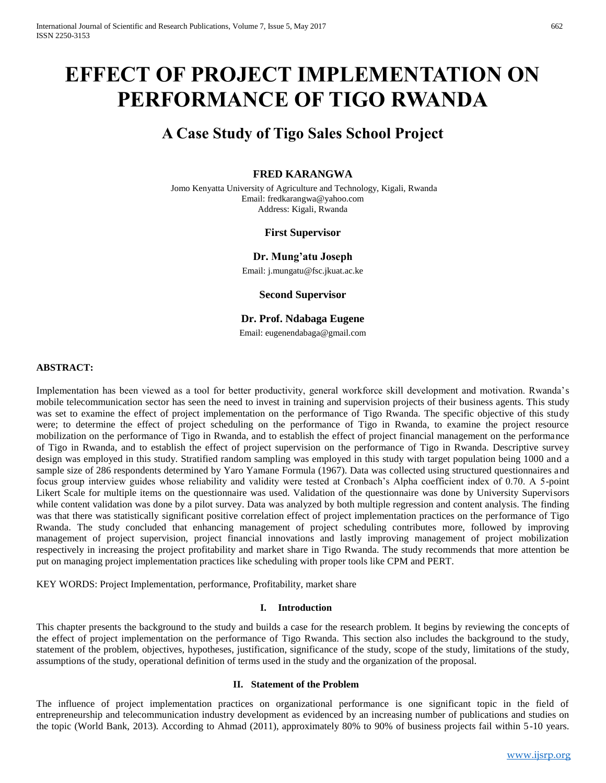# **EFFECT OF PROJECT IMPLEMENTATION ON PERFORMANCE OF TIGO RWANDA**

# **A Case Study of Tigo Sales School Project**

# **FRED KARANGWA**

Jomo Kenyatta University of Agriculture and Technology, Kigali, Rwanda Email: fredkarangwa@yahoo.com Address: Kigali, Rwanda

#### **First Supervisor**

#### **Dr. Mung'atu Joseph**

Email: j.mungatu@fsc.jkuat.ac.ke

**Second Supervisor**

**Dr. Prof. Ndabaga Eugene**

Email: eugenendabaga@gmail.com

#### **ABSTRACT:**

Implementation has been viewed as a tool for better productivity, general workforce skill development and motivation. Rwanda's mobile telecommunication sector has seen the need to invest in training and supervision projects of their business agents. This study was set to examine the effect of project implementation on the performance of Tigo Rwanda. The specific objective of this study were; to determine the effect of project scheduling on the performance of Tigo in Rwanda, to examine the project resource mobilization on the performance of Tigo in Rwanda, and to establish the effect of project financial management on the performance of Tigo in Rwanda, and to establish the effect of project supervision on the performance of Tigo in Rwanda. Descriptive survey design was employed in this study. Stratified random sampling was employed in this study with target population being 1000 and a sample size of 286 respondents determined by Yaro Yamane Formula (1967). Data was collected using structured questionnaires and focus group interview guides whose reliability and validity were tested at Cronbach's Alpha coefficient index of 0.70. A 5-point Likert Scale for multiple items on the questionnaire was used. Validation of the questionnaire was done by University Supervisors while content validation was done by a pilot survey. Data was analyzed by both multiple regression and content analysis. The finding was that there was statistically significant positive correlation effect of project implementation practices on the performance of Tigo Rwanda. The study concluded that enhancing management of project scheduling contributes more, followed by improving management of project supervision, project financial innovations and lastly improving management of project mobilization respectively in increasing the project profitability and market share in Tigo Rwanda. The study recommends that more attention be put on managing project implementation practices like scheduling with proper tools like CPM and PERT.

KEY WORDS: Project Implementation, performance, Profitability, market share

#### **I. Introduction**

This chapter presents the background to the study and builds a case for the research problem. It begins by reviewing the concepts of the effect of project implementation on the performance of Tigo Rwanda. This section also includes the background to the study, statement of the problem, objectives, hypotheses, justification, significance of the study, scope of the study, limitations of the study, assumptions of the study, operational definition of terms used in the study and the organization of the proposal.

#### **II. Statement of the Problem**

The influence of project implementation practices on organizational performance is one significant topic in the field of entrepreneurship and telecommunication industry development as evidenced by an increasing number of publications and studies on the topic (World Bank, 2013). According to Ahmad (2011), approximately 80% to 90% of business projects fail within 5-10 years.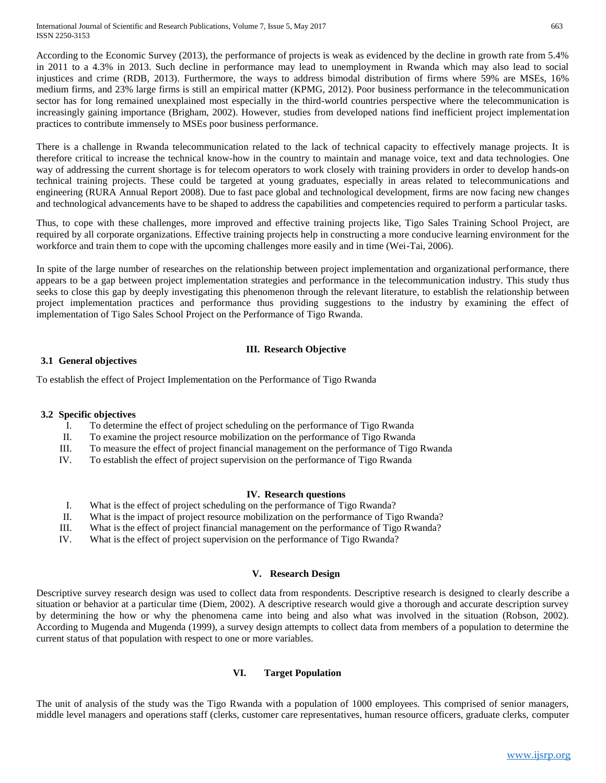According to the Economic Survey (2013), the performance of projects is weak as evidenced by the decline in growth rate from 5.4% in 2011 to a 4.3% in 2013. Such decline in performance may lead to unemployment in Rwanda which may also lead to social injustices and crime (RDB, 2013). Furthermore, the ways to address bimodal distribution of firms where 59% are MSEs, 16% medium firms, and 23% large firms is still an empirical matter (KPMG, 2012). Poor business performance in the telecommunication sector has for long remained unexplained most especially in the third-world countries perspective where the telecommunication is increasingly gaining importance (Brigham, 2002). However, studies from developed nations find inefficient project implementation practices to contribute immensely to MSEs poor business performance.

There is a challenge in Rwanda telecommunication related to the lack of technical capacity to effectively manage projects. It is therefore critical to increase the technical know-how in the country to maintain and manage voice, text and data technologies. One way of addressing the current shortage is for telecom operators to work closely with training providers in order to develop hands-on technical training projects. These could be targeted at young graduates, especially in areas related to telecommunications and engineering (RURA Annual Report 2008). Due to fast pace global and technological development, firms are now facing new changes and technological advancements have to be shaped to address the capabilities and competencies required to perform a particular tasks.

Thus, to cope with these challenges, more improved and effective training projects like, Tigo Sales Training School Project, are required by all corporate organizations. Effective training projects help in constructing a more conducive learning environment for the workforce and train them to cope with the upcoming challenges more easily and in time (Wei-Tai, 2006).

In spite of the large number of researches on the relationship between project implementation and organizational performance, there appears to be a gap between project implementation strategies and performance in the telecommunication industry. This study thus seeks to close this gap by deeply investigating this phenomenon through the relevant literature, to establish the relationship between project implementation practices and performance thus providing suggestions to the industry by examining the effect of implementation of Tigo Sales School Project on the Performance of Tigo Rwanda.

# **III. Research Objective**

# **3.1 General objectives**

To establish the effect of Project Implementation on the Performance of Tigo Rwanda

# **3.2 Specific objectives**

- I. To determine the effect of project scheduling on the performance of Tigo Rwanda
- II. To examine the project resource mobilization on the performance of Tigo Rwanda
- III. To measure the effect of project financial management on the performance of Tigo Rwanda
- IV. To establish the effect of project supervision on the performance of Tigo Rwanda

# **IV. Research questions**

- I. What is the effect of project scheduling on the performance of Tigo Rwanda?
- II. What is the impact of project resource mobilization on the performance of Tigo Rwanda?
- III. What is the effect of project financial management on the performance of Tigo Rwanda?
- IV. What is the effect of project supervision on the performance of Tigo Rwanda?

# **V. Research Design**

Descriptive survey research design was used to collect data from respondents. Descriptive research is designed to clearly describe a situation or behavior at a particular time (Diem, 2002). A descriptive research would give a thorough and accurate description survey by determining the how or why the phenomena came into being and also what was involved in the situation (Robson, 2002). According to Mugenda and Mugenda (1999), a survey design attempts to collect data from members of a population to determine the current status of that population with respect to one or more variables.

# **VI. Target Population**

The unit of analysis of the study was the Tigo Rwanda with a population of 1000 employees. This comprised of senior managers, middle level managers and operations staff (clerks, customer care representatives, human resource officers, graduate clerks, computer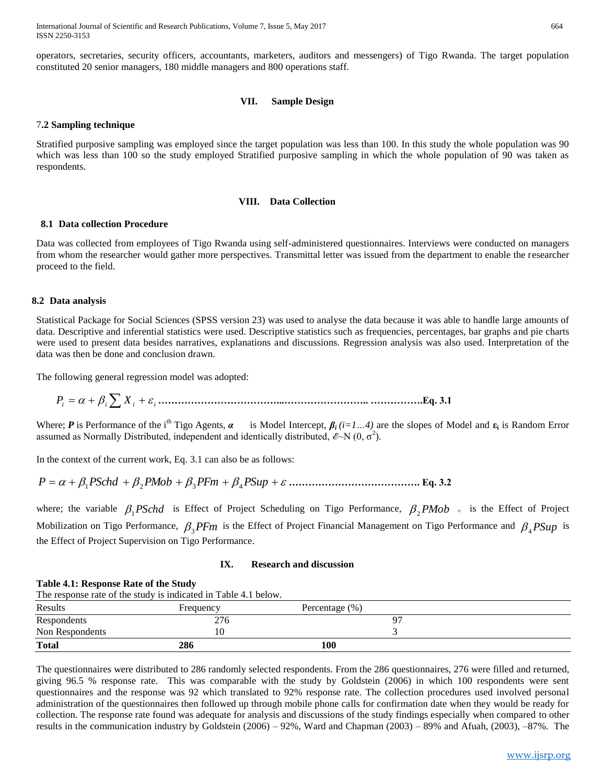International Journal of Scientific and Research Publications, Volume 7, Issue 5, May 2017 664 ISSN 2250-3153

operators, secretaries, security officers, accountants, marketers, auditors and messengers) of Tigo Rwanda. The target population constituted 20 senior managers, 180 middle managers and 800 operations staff.

#### **VII. Sample Design**

#### 7**.2 Sampling technique**

Stratified purposive sampling was employed since the target population was less than 100. In this study the whole population was 90 which was less than 100 so the study employed Stratified purposive sampling in which the whole population of 90 was taken as respondents.

#### **VIII. Data Collection**

#### **8.1 Data collection Procedure**

Data was collected from employees of Tigo Rwanda using self-administered questionnaires. Interviews were conducted on managers from whom the researcher would gather more perspectives. Transmittal letter was issued from the department to enable the researcher proceed to the field.

#### **8.2 Data analysis**

Statistical Package for Social Sciences (SPSS version 23) was used to analyse the data because it was able to handle large amounts of data. Descriptive and inferential statistics were used. Descriptive statistics such as frequencies, percentages, bar graphs and pie charts were used to present data besides narratives, explanations and discussions. Regression analysis was also used. Interpretation of the data was then be done and conclusion drawn.

The following general regression model was adopted:

*P<sup>i</sup> <sup>i</sup> X <sup>i</sup> <sup>i</sup>* **………………………………...…………………….. …………….Eq. 3.1**

Where; *P* is Performance of the i<sup>th</sup> Tigo Agents,  $\alpha$  is Model Intercept,  $\beta_i$  (*i*=1...4) are the slopes of Model and  $\varepsilon_i$  is Random Error assumed as Normally Distributed, independent and identically distributed,  $\mathscr{E}\text{-N}(0, \sigma^2)$ .

In the context of the current work, Eq. 3.1 can also be as follows:

*P PSchd PMob PFm PSup* <sup>1</sup> <sup>2</sup> <sup>3</sup> <sup>4</sup> **…………………………………. Eq. 3.2**

where; the variable  $\beta_1$ *PSchd* is Effect of Project Scheduling on Tigo Performance,  $\beta_2$ *PMob* = is the Effect of Project Mobilization on Tigo Performance,  $\beta_3$ PFm is the Effect of Project Financial Management on Tigo Performance and  $\beta_4$ PSup is the Effect of Project Supervision on Tigo Performance.

#### **IX. Research and discussion**

#### **Table 4.1: Response Rate of the Study**

| The response rate of the study is indicated in Table 4.1 below. |  |  |  |  |  |
|-----------------------------------------------------------------|--|--|--|--|--|
|-----------------------------------------------------------------|--|--|--|--|--|

| Results         | <b>Frequency</b> | Percentage $(\%)$ |  |
|-----------------|------------------|-------------------|--|
| Respondents     | 276              | $Q^{\pi}$         |  |
| Non Respondents |                  |                   |  |
| <b>Total</b>    | 286              | 100               |  |

The questionnaires were distributed to 286 randomly selected respondents. From the 286 questionnaires, 276 were filled and returned, giving 96.5 % response rate. This was comparable with the study by Goldstein (2006) in which 100 respondents were sent questionnaires and the response was 92 which translated to 92% response rate. The collection procedures used involved personal administration of the questionnaires then followed up through mobile phone calls for confirmation date when they would be ready for collection. The response rate found was adequate for analysis and discussions of the study findings especially when compared to other results in the communication industry by Goldstein (2006) – 92%, Ward and Chapman (2003) – 89% and Afuah, (2003), –87%. The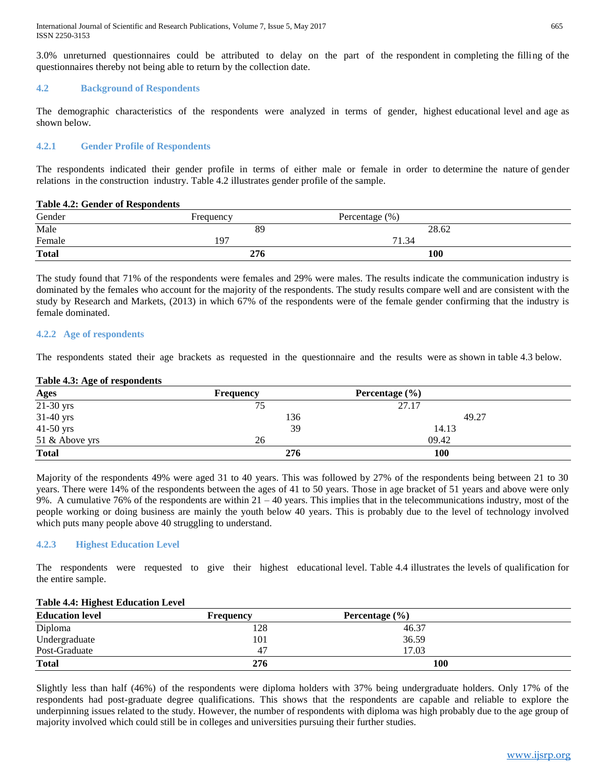International Journal of Scientific and Research Publications, Volume 7, Issue 5, May 2017 665 ISSN 2250-3153

3.0% unreturned questionnaires could be attributed to delay on the part of the respondent in completing the filling of the questionnaires thereby not being able to return by the collection date.

#### **4.2 Background of Respondents**

The demographic characteristics of the respondents were analyzed in terms of gender, highest educational level and age as shown below.

#### **4.2.1 Gender Profile of Respondents**

The respondents indicated their gender profile in terms of either male or female in order to determine the nature of gender relations in the construction industry. Table 4.2 illustrates gender profile of the sample.

#### **Table 4.2: Gender of Respondents**

| Gender       | Frequency | Percentage $(\%)$ |  |
|--------------|-----------|-------------------|--|
| Male         | 89        | 28.62             |  |
| Female       | 197       | 71.34             |  |
| <b>Total</b> | 276       | 100               |  |

The study found that 71% of the respondents were females and 29% were males. The results indicate the communication industry is dominated by the females who account for the majority of the respondents. The study results compare well and are consistent with the study by Research and Markets, (2013) in which 67% of the respondents were of the female gender confirming that the industry is female dominated.

#### **4.2.2 Age of respondents**

The respondents stated their age brackets as requested in the questionnaire and the results were as shown in table 4.3 below.

#### **Table 4.3: Age of respondents**

| <b>Ages</b>    | <b>Frequency</b> | <b>Percentage</b> $(\% )$ |  |
|----------------|------------------|---------------------------|--|
| $21-30$ yrs    | 75               | 27.17                     |  |
| 31-40 yrs      | 136              | 49.27                     |  |
| $41-50$ yrs    | 39               | 14.13                     |  |
| 51 & Above yrs | 26               | 09.42                     |  |
| <b>Total</b>   | 276              | 100                       |  |

Majority of the respondents 49% were aged 31 to 40 years. This was followed by 27% of the respondents being between 21 to 30 years. There were 14% of the respondents between the ages of 41 to 50 years. Those in age bracket of 51 years and above were only 9%. A cumulative 76% of the respondents are within  $21 - 40$  years. This implies that in the telecommunications industry, most of the people working or doing business are mainly the youth below 40 years. This is probably due to the level of technology involved which puts many people above 40 struggling to understand.

#### **4.2.3 Highest Education Level**

The respondents were requested to give their highest educational level. Table 4.4 illustrates the levels of qualification for the entire sample.

#### **Table 4.4: Highest Education Level**

| <b>Education level</b> | Frequency | Percentage $(\% )$ |  |
|------------------------|-----------|--------------------|--|
| Diploma                | 128       | 46.37              |  |
| Undergraduate          | 101       | 36.59              |  |
| Post-Graduate          | 47        | 17.03              |  |
| <b>Total</b>           | 276       | 100                |  |

Slightly less than half (46%) of the respondents were diploma holders with 37% being undergraduate holders. Only 17% of the respondents had post-graduate degree qualifications. This shows that the respondents are capable and reliable to explore the underpinning issues related to the study. However, the number of respondents with diploma was high probably due to the age group of majority involved which could still be in colleges and universities pursuing their further studies.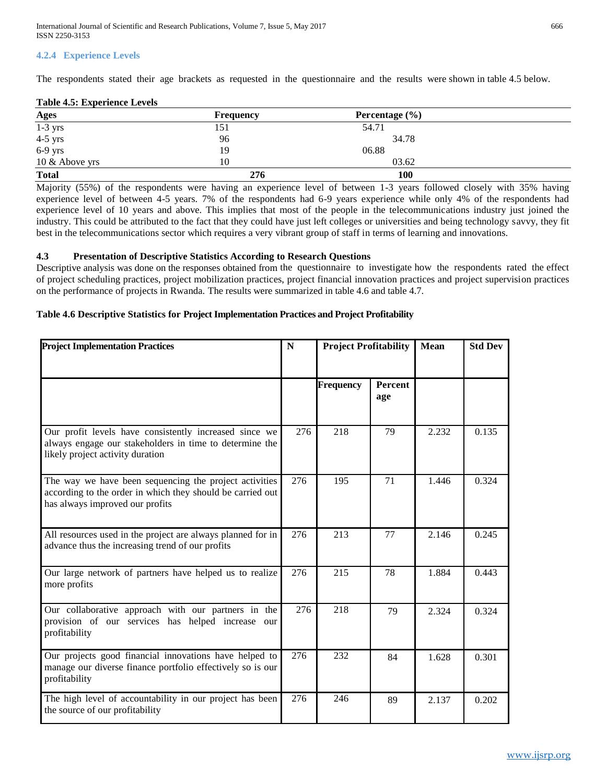# **4.2.4 Experience Levels**

The respondents stated their age brackets as requested in the questionnaire and the results were shown in table 4.5 below.

#### **Table 4.5: Experience Levels**

| <b>Ages</b>    | <b>Frequency</b> | Percentage $(\% )$ |  |
|----------------|------------------|--------------------|--|
| $1-3$ yrs      | 151              | 54.71              |  |
| $4-5$ yrs      | 96               | 34.78              |  |
| 6-9 yrs        | 19               | 06.88              |  |
| 10 & Above yrs | 10               | 03.62              |  |
| <b>Total</b>   | 276              | <b>100</b>         |  |

Majority (55%) of the respondents were having an experience level of between 1-3 years followed closely with 35% having experience level of between 4-5 years. 7% of the respondents had 6-9 years experience while only 4% of the respondents had experience level of 10 years and above. This implies that most of the people in the telecommunications industry just joined the industry. This could be attributed to the fact that they could have just left colleges or universities and being technology savvy, they fit best in the telecommunications sector which requires a very vibrant group of staff in terms of learning and innovations.

#### **4.3 Presentation of Descriptive Statistics According to Research Questions**

Descriptive analysis was done on the responses obtained from the questionnaire to investigate how the respondents rated the effect of project scheduling practices, project mobilization practices, project financial innovation practices and project supervision practices on the performance of projects in Rwanda. The results were summarized in table 4.6 and table 4.7.

#### **Table 4.6 Descriptive Statistics for Project Implementation Practices and Project Profitability**

| <b>Project Implementation Practices</b>                                                                                                                 | N   | <b>Project Profitability</b> |                | <b>Mean</b> | <b>Std Dev</b> |
|---------------------------------------------------------------------------------------------------------------------------------------------------------|-----|------------------------------|----------------|-------------|----------------|
|                                                                                                                                                         |     | <b>Frequency</b>             | Percent<br>age |             |                |
| Our profit levels have consistently increased since we<br>always engage our stakeholders in time to determine the<br>likely project activity duration   | 276 | 218                          | 79             | 2.232       | 0.135          |
| The way we have been sequencing the project activities<br>according to the order in which they should be carried out<br>has always improved our profits | 276 | 195                          | 71             | 1.446       | 0.324          |
| All resources used in the project are always planned for in<br>advance thus the increasing trend of our profits                                         | 276 | 213                          | 77             | 2.146       | 0.245          |
| Our large network of partners have helped us to realize<br>more profits                                                                                 | 276 | 215                          | 78             | 1.884       | 0.443          |
| Our collaborative approach with our partners in the<br>provision of our services has helped increase our<br>profitability                               | 276 | 218                          | 79             | 2.324       | 0.324          |
| Our projects good financial innovations have helped to<br>manage our diverse finance portfolio effectively so is our<br>profitability                   | 276 | 232                          | 84             | 1.628       | 0.301          |
| The high level of accountability in our project has been<br>the source of our profitability                                                             | 276 | 246                          | 89             | 2.137       | 0.202          |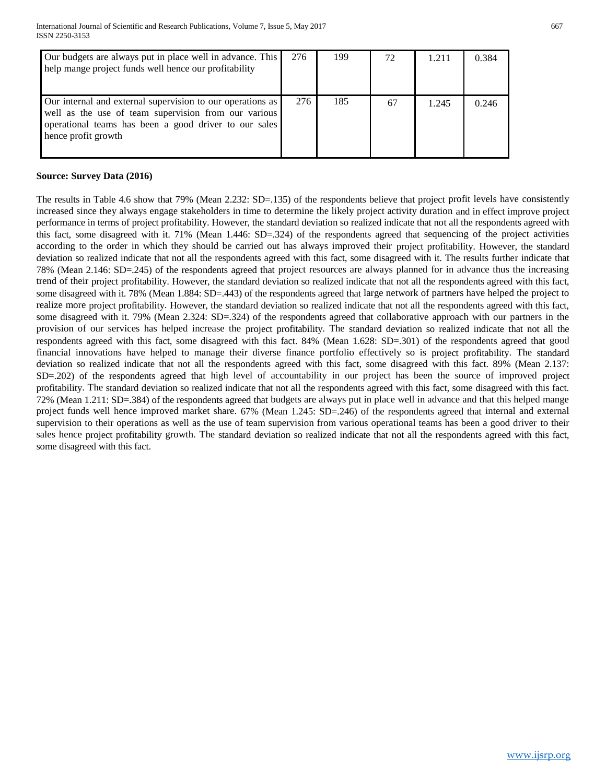| Our budgets are always put in place well in advance. This<br>help mange project funds well hence our profitability                                                                                 | 276 | 199 | 72 | 1.211 | 0.384 |
|----------------------------------------------------------------------------------------------------------------------------------------------------------------------------------------------------|-----|-----|----|-------|-------|
| Our internal and external supervision to our operations as<br>well as the use of team supervision from our various<br>operational teams has been a good driver to our sales<br>hence profit growth | 276 | 185 | 67 | 1.245 | 0.246 |

# **Source: Survey Data (2016)**

The results in Table 4.6 show that 79% (Mean 2.232: SD=.135) of the respondents believe that project profit levels have consistently increased since they always engage stakeholders in time to determine the likely project activity duration and in effect improve project performance in terms of project profitability. However, the standard deviation so realized indicate that not all the respondents agreed with this fact, some disagreed with it. 71% (Mean 1.446: SD=.324) of the respondents agreed that sequencing of the project activities according to the order in which they should be carried out has always improved their project profitability. However, the standard deviation so realized indicate that not all the respondents agreed with this fact, some disagreed with it. The results further indicate that 78% (Mean 2.146: SD=.245) of the respondents agreed that project resources are always planned for in advance thus the increasing trend of their project profitability. However, the standard deviation so realized indicate that not all the respondents agreed with this fact, some disagreed with it. 78% (Mean 1.884: SD=.443) of the respondents agreed that large network of partners have helped the project to realize more project profitability. However, the standard deviation so realized indicate that not all the respondents agreed with this fact, some disagreed with it. 79% (Mean 2.324: SD=.324) of the respondents agreed that collaborative approach with our partners in the provision of our services has helped increase the project profitability. The standard deviation so realized indicate that not all the respondents agreed with this fact, some disagreed with this fact. 84% (Mean 1.628: SD=.301) of the respondents agreed that good financial innovations have helped to manage their diverse finance portfolio effectively so is project profitability. The standard deviation so realized indicate that not all the respondents agreed with this fact, some disagreed with this fact. 89% (Mean 2.137: SD=.202) of the respondents agreed that high level of accountability in our project has been the source of improved project profitability. The standard deviation so realized indicate that not all the respondents agreed with this fact, some disagreed with this fact. 72% (Mean 1.211: SD=.384) of the respondents agreed that budgets are always put in place well in advance and that this helped mange project funds well hence improved market share. 67% (Mean 1.245: SD=.246) of the respondents agreed that internal and external supervision to their operations as well as the use of team supervision from various operational teams has been a good driver to their sales hence project profitability growth. The standard deviation so realized indicate that not all the respondents agreed with this fact, some disagreed with this fact.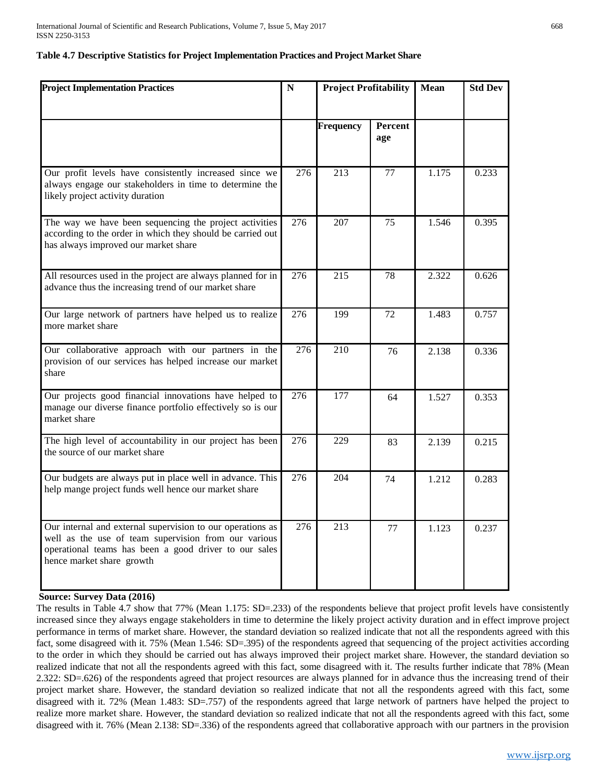#### **Table 4.7 Descriptive Statistics for Project Implementation Practices and Project Market Share**

| <b>Project Implementation Practices</b>                                                                                                                                                                  | N   | <b>Project Profitability</b> |                 | <b>Mean</b> | <b>Std Dev</b> |
|----------------------------------------------------------------------------------------------------------------------------------------------------------------------------------------------------------|-----|------------------------------|-----------------|-------------|----------------|
|                                                                                                                                                                                                          |     | <b>Frequency</b>             | Percent<br>age  |             |                |
| Our profit levels have consistently increased since we<br>always engage our stakeholders in time to determine the<br>likely project activity duration                                                    | 276 | 213                          | 77              | 1.175       | 0.233          |
| The way we have been sequencing the project activities<br>according to the order in which they should be carried out<br>has always improved our market share                                             | 276 | 207                          | 75              | 1.546       | 0.395          |
| All resources used in the project are always planned for in<br>advance thus the increasing trend of our market share                                                                                     | 276 | 215                          | 78              | 2.322       | 0.626          |
| Our large network of partners have helped us to realize<br>more market share                                                                                                                             | 276 | 199                          | $\overline{72}$ | 1.483       | 0.757          |
| Our collaborative approach with our partners in the<br>provision of our services has helped increase our market<br>share                                                                                 | 276 | 210                          | 76              | 2.138       | 0.336          |
| Our projects good financial innovations have helped to<br>manage our diverse finance portfolio effectively so is our<br>market share                                                                     | 276 | $\overline{177}$             | 64              | 1.527       | 0.353          |
| The high level of accountability in our project has been<br>the source of our market share                                                                                                               | 276 | 229                          | 83              | 2.139       | 0.215          |
| Our budgets are always put in place well in advance. This<br>help mange project funds well hence our market share                                                                                        | 276 | 204                          | 74              | 1.212       | 0.283          |
| Our internal and external supervision to our operations as<br>well as the use of team supervision from our various<br>operational teams has been a good driver to our sales<br>hence market share growth | 276 | 213                          | 77              | 1.123       | 0.237          |

#### **Source: Survey Data (2016)**

The results in Table 4.7 show that 77% (Mean 1.175: SD=.233) of the respondents believe that project profit levels have consistently increased since they always engage stakeholders in time to determine the likely project activity duration and in effect improve project performance in terms of market share. However, the standard deviation so realized indicate that not all the respondents agreed with this fact, some disagreed with it. 75% (Mean 1.546: SD=.395) of the respondents agreed that sequencing of the project activities according to the order in which they should be carried out has always improved their project market share. However, the standard deviation so realized indicate that not all the respondents agreed with this fact, some disagreed with it. The results further indicate that 78% (Mean 2.322: SD=.626) of the respondents agreed that project resources are always planned for in advance thus the increasing trend of their project market share. However, the standard deviation so realized indicate that not all the respondents agreed with this fact, some disagreed with it. 72% (Mean 1.483: SD=.757) of the respondents agreed that large network of partners have helped the project to realize more market share. However, the standard deviation so realized indicate that not all the respondents agreed with this fact, some disagreed with it. 76% (Mean 2.138: SD=.336) of the respondents agreed that collaborative approach with our partners in the provision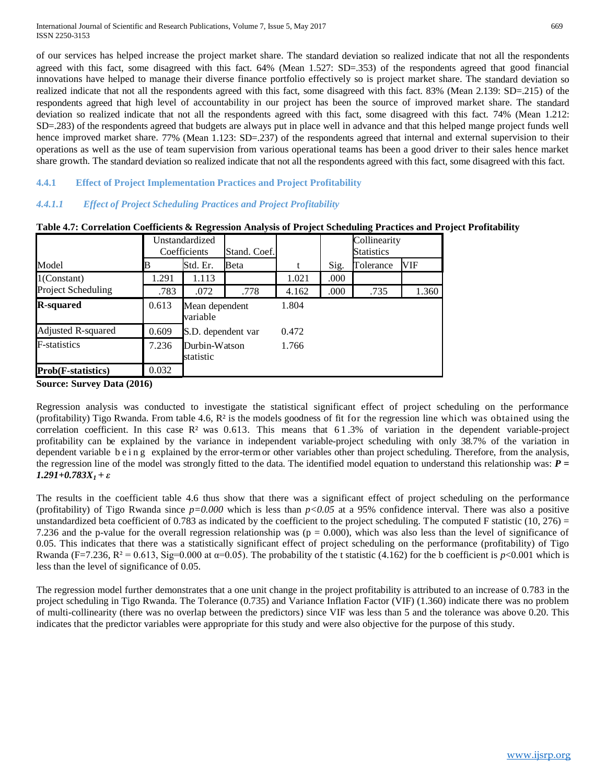of our services has helped increase the project market share. The standard deviation so realized indicate that not all the respondents agreed with this fact, some disagreed with this fact. 64% (Mean 1.527: SD=.353) of the respondents agreed that good financial innovations have helped to manage their diverse finance portfolio effectively so is project market share. The standard deviation so realized indicate that not all the respondents agreed with this fact, some disagreed with this fact. 83% (Mean 2.139: SD=.215) of the respondents agreed that high level of accountability in our project has been the source of improved market share. The standard deviation so realized indicate that not all the respondents agreed with this fact, some disagreed with this fact. 74% (Mean 1.212: SD=.283) of the respondents agreed that budgets are always put in place well in advance and that this helped mange project funds well hence improved market share. 77% (Mean 1.123: SD=.237) of the respondents agreed that internal and external supervision to their operations as well as the use of team supervision from various operational teams has been a good driver to their sales hence market share growth. The standard deviation so realized indicate that not all the respondents agreed with this fact, some disagreed with this fact.

# **4.4.1 Effect of Project Implementation Practices and Project Profitability**

# *4.4.1.1 Effect of Project Scheduling Practices and Project Profitability*

|                           |       | Unstandardized<br>Coefficients | Stand. Coef. |       | Collinearity<br><b>Statistics</b> |           |       |
|---------------------------|-------|--------------------------------|--------------|-------|-----------------------------------|-----------|-------|
| Model                     | B     | Std. Er.                       | <b>Beta</b>  | t     | Sig.                              | Tolerance | VIF   |
| $1$ (Constant)            | 1.291 | 1.113                          |              | 1.021 | .000                              |           |       |
| Project Scheduling        | .783  | .072                           | .778         | 4.162 | .000                              | .735      | 1.360 |
| <b>R-squared</b>          | 0.613 | Mean dependent<br>variable     |              | 1.804 |                                   |           |       |
| Adjusted R-squared        | 0.609 | S.D. dependent var             |              | 0.472 |                                   |           |       |
| F-statistics              | 7.236 | Durbin-Watson<br>statistic     |              | 1.766 |                                   |           |       |
| <b>Prob(F-statistics)</b> | 0.032 |                                |              |       |                                   |           |       |

**Table 4.7: Correlation Coefficients & Regression Analysis of Project Scheduling Practices and Project Profitability**

**Source: Survey Data (2016)**

Regression analysis was conducted to investigate the statistical significant effect of project scheduling on the performance (profitability) Tigo Rwanda. From table 4.6,  $\mathbb{R}^2$  is the models goodness of fit for the regression line which was obtained using the correlation coefficient. In this case  $\mathbb{R}^2$  was 0.613. This means that 61.3% of variation in the dependent variable-project profitability can be explained by the variance in independent variable-project scheduling with only 38.7% of the variation in dependent variable b e i n g explained by the error-term or other variables other than project scheduling. Therefore, from the analysis, the regression line of the model was strongly fitted to the data. The identified model equation to understand this relationship was: *P = 1.291+0.783X1 + ε*

The results in the coefficient table 4.6 thus show that there was a significant effect of project scheduling on the performance (profitability) of Tigo Rwanda since  $p=0.000$  which is less than  $p<0.05$  at a 95% confidence interval. There was also a positive unstandardized beta coefficient of 0.783 as indicated by the coefficient to the project scheduling. The computed F statistic (10, 276) = 7.236 and the p-value for the overall regression relationship was  $(p = 0.000)$ , which was also less than the level of significance of 0.05. This indicates that there was a statistically significant effect of project scheduling on the performance (profitability) of Tigo Rwanda (F=7.236, R<sup>2</sup> = 0.613, Sig=0.000 at  $\alpha$ =0.05). The probability of the t statistic (4.162) for the b coefficient is *p*<0.001 which is less than the level of significance of 0.05.

The regression model further demonstrates that a one unit change in the project profitability is attributed to an increase of 0.783 in the project scheduling in Tigo Rwanda. The Tolerance (0.735) and Variance Inflation Factor (VIF) (1.360) indicate there was no problem of multi-collinearity (there was no overlap between the predictors) since VIF was less than 5 and the tolerance was above 0.20. This indicates that the predictor variables were appropriate for this study and were also objective for the purpose of this study.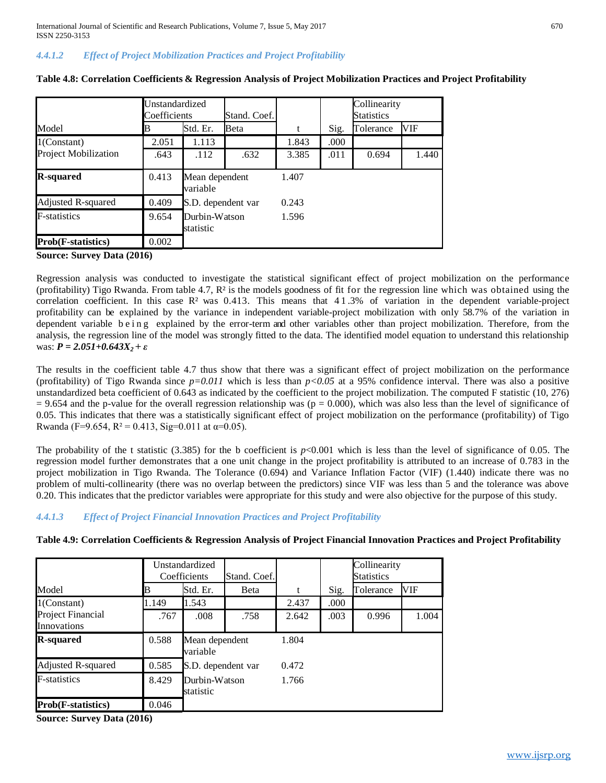# *4.4.1.2 Effect of Project Mobilization Practices and Project Profitability*

|                                     | Unstandardized<br>Coefficients |                            | Stand. Coef. |       |      | Collinearity<br><b>Statistics</b> |            |
|-------------------------------------|--------------------------------|----------------------------|--------------|-------|------|-----------------------------------|------------|
| Model                               |                                | Std. Er.                   | Beta         | t     | Sig. | Tolerance                         | <b>VIF</b> |
| $1$ (Constant)                      | 2.051                          | 1.113                      |              | 1.843 | .000 |                                   |            |
| <b>Project Mobilization</b>         | .643                           | .112                       | .632         | 3.385 | .011 | 0.694                             | 1.440      |
| <b>R-squared</b>                    | 0.413                          | Mean dependent<br>variable |              | 1.407 |      |                                   |            |
| Adjusted R-squared                  | 0.409                          | S.D. dependent var         |              | 0.243 |      |                                   |            |
| <b>F</b> -statistics                | 9.654                          | Durbin-Watson<br>statistic |              | 1.596 |      |                                   |            |
| <b>Prob</b> ( <b>F</b> -statistics) | 0.002                          |                            |              |       |      |                                   |            |

**Table 4.8: Correlation Coefficients & Regression Analysis of Project Mobilization Practices and Project Profitability**

**Source: Survey Data (2016)**

Regression analysis was conducted to investigate the statistical significant effect of project mobilization on the performance (profitability) Tigo Rwanda. From table 4.7,  $\mathbb{R}^2$  is the models goodness of fit for the regression line which was obtained using the correlation coefficient. In this case  $\mathbb{R}^2$  was 0.413. This means that 41.3% of variation in the dependent variable-project profitability can be explained by the variance in independent variable-project mobilization with only 58.7% of the variation in dependent variable being explained by the error-term and other variables other than project mobilization. Therefore, from the analysis, the regression line of the model was strongly fitted to the data. The identified model equation to understand this relationship  $was: P = 2.051 + 0.643X_2 + ε$ 

The results in the coefficient table 4.7 thus show that there was a significant effect of project mobilization on the performance (profitability) of Tigo Rwanda since  $p=0.011$  which is less than  $p<0.05$  at a 95% confidence interval. There was also a positive unstandardized beta coefficient of 0.643 as indicated by the coefficient to the project mobilization. The computed F statistic (10, 276)  $= 9.654$  and the p-value for the overall regression relationship was (p = 0.000), which was also less than the level of significance of 0.05. This indicates that there was a statistically significant effect of project mobilization on the performance (profitability) of Tigo Rwanda (F=9.654, R<sup>2</sup> = 0.413, Sig=0.011 at  $\alpha$ =0.05).

The probability of the t statistic (3.385) for the b coefficient is  $p<0.001$  which is less than the level of significance of 0.05. The regression model further demonstrates that a one unit change in the project profitability is attributed to an increase of 0.783 in the project mobilization in Tigo Rwanda. The Tolerance (0.694) and Variance Inflation Factor (VIF) (1.440) indicate there was no problem of multi-collinearity (there was no overlap between the predictors) since VIF was less than 5 and the tolerance was above 0.20. This indicates that the predictor variables were appropriate for this study and were also objective for the purpose of this study.

# *4.4.1.3 Effect of Project Financial Innovation Practices and Project Profitability*

|                                  |       | Unstandardized<br>Coefficients | Stand. Coef. |       |      | Collinearity<br><b>Statistics</b> |       |
|----------------------------------|-------|--------------------------------|--------------|-------|------|-----------------------------------|-------|
| Model                            | B     | Std. Er.                       | <b>B</b> eta | t     | Sig. | Tolerance                         | VIF   |
| $1$ (Constant)                   | .149  | 1.543                          |              | 2.437 | .000 |                                   |       |
| Project Financial<br>Innovations | .767  | .008                           | .758         | 2.642 | .003 | 0.996                             | 1.004 |
| <b>R-squared</b>                 | 0.588 | Mean dependent<br>variable     |              | 1.804 |      |                                   |       |
| Adjusted R-squared               | 0.585 | S.D. dependent var             |              | 0.472 |      |                                   |       |
| <b>F</b> -statistics             | 8.429 | Durbin-Watson<br>statistic     |              | 1.766 |      |                                   |       |
| <b>Prob(F-statistics)</b>        | 0.046 |                                |              |       |      |                                   |       |

**Table 4.9: Correlation Coefficients & Regression Analysis of Project Financial Innovation Practices and Project Profitability**

**Source: Survey Data (2016)**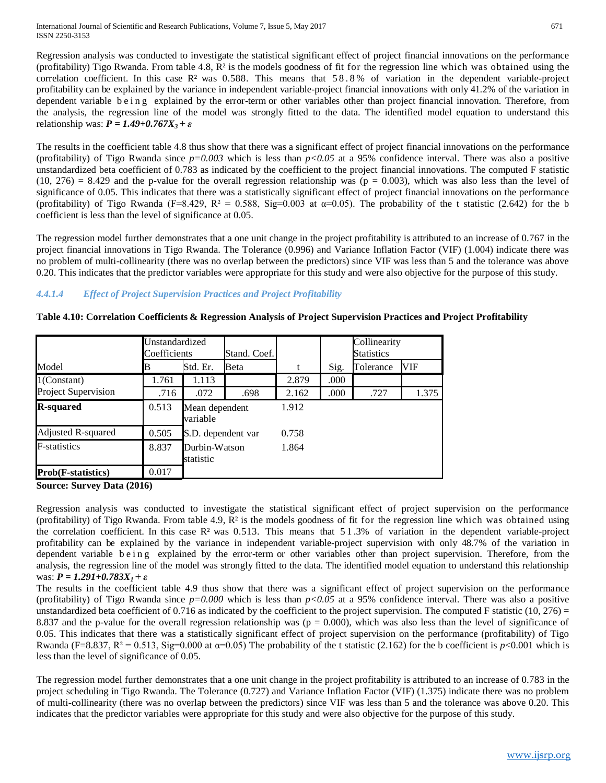Regression analysis was conducted to investigate the statistical significant effect of project financial innovations on the performance (profitability) Tigo Rwanda. From table 4.8,  $\mathbb{R}^2$  is the models goodness of fit for the regression line which was obtained using the correlation coefficient. In this case  $\mathbb{R}^2$  was 0.588. This means that 58.8% of variation in the dependent variable-project profitability can be explained by the variance in independent variable-project financial innovations with only 41.2% of the variation in dependent variable being explained by the error-term or other variables other than project financial innovation. Therefore, from the analysis, the regression line of the model was strongly fitted to the data. The identified model equation to understand this relationship was: *P = 1.49+0.767X3 + ε*

The results in the coefficient table 4.8 thus show that there was a significant effect of project financial innovations on the performance (profitability) of Tigo Rwanda since  $p=0.003$  which is less than  $p<0.05$  at a 95% confidence interval. There was also a positive unstandardized beta coefficient of 0.783 as indicated by the coefficient to the project financial innovations. The computed F statistic  $(10, 276) = 8.429$  and the p-value for the overall regression relationship was ( $p = 0.003$ ), which was also less than the level of significance of 0.05. This indicates that there was a statistically significant effect of project financial innovations on the performance (profitability) of Tigo Rwanda (F=8.429, R<sup>2</sup> = 0.588, Sig=0.003 at  $\alpha$ =0.05). The probability of the t statistic (2.642) for the b coefficient is less than the level of significance at 0.05.

The regression model further demonstrates that a one unit change in the project profitability is attributed to an increase of 0.767 in the project financial innovations in Tigo Rwanda. The Tolerance (0.996) and Variance Inflation Factor (VIF) (1.004) indicate there was no problem of multi-collinearity (there was no overlap between the predictors) since VIF was less than 5 and the tolerance was above 0.20. This indicates that the predictor variables were appropriate for this study and were also objective for the purpose of this study.

# *4.4.1.4 Effect of Project Supervision Practices and Project Profitability*

|                                     | Unstandardized<br>Coefficients |                            | Stand. Coef. |       |      | Collinearity<br><b>Statistics</b> |       |
|-------------------------------------|--------------------------------|----------------------------|--------------|-------|------|-----------------------------------|-------|
| Model                               | B                              | Std. Er.                   | Beta         | t     | Sig. | Tolerance                         | VIF   |
| $1$ (Constant)                      | 1.761                          | 1.113                      |              | 2.879 | .000 |                                   |       |
| Project Supervision                 | .716                           | .072                       | .698         | 2.162 | .000 | .727                              | 1.375 |
| <b>R-squared</b>                    | 0.513                          | Mean dependent<br>variable |              | 1.912 |      |                                   |       |
| Adjusted R-squared                  | 0.505                          | S.D. dependent var         |              | 0.758 |      |                                   |       |
| <b>F</b> -statistics                | 8.837                          | Durbin-Watson<br>statistic |              | 1.864 |      |                                   |       |
| <b>Prob</b> ( <b>F</b> -statistics) | 0.017                          |                            |              |       |      |                                   |       |

#### **Table 4.10: Correlation Coefficients & Regression Analysis of Project Supervision Practices and Project Profitability**

**Source: Survey Data (2016)**

Regression analysis was conducted to investigate the statistical significant effect of project supervision on the performance (profitability) of Tigo Rwanda. From table 4.9, R² is the models goodness of fit for the regression line which was obtained using the correlation coefficient. In this case  $\mathbb{R}^2$  was 0.513. This means that 51.3% of variation in the dependent variable-project profitability can be explained by the variance in independent variable-project supervision with only 48.7% of the variation in dependent variable being explained by the error-term or other variables other than project supervision. Therefore, from the analysis, the regression line of the model was strongly fitted to the data. The identified model equation to understand this relationship was: *P = 1.291+0.783X1 + ε*

The results in the coefficient table 4.9 thus show that there was a significant effect of project supervision on the performance (profitability) of Tigo Rwanda since  $p=0.000$  which is less than  $p<0.05$  at a 95% confidence interval. There was also a positive unstandardized beta coefficient of 0.716 as indicated by the coefficient to the project supervision. The computed F statistic (10, 276) = 8.837 and the p-value for the overall regression relationship was ( $p = 0.000$ ), which was also less than the level of significance of 0.05. This indicates that there was a statistically significant effect of project supervision on the performance (profitability) of Tigo Rwanda (F=8.837, R<sup>2</sup> = 0.513, Sig=0.000 at  $\alpha$ =0.05) The probability of the t statistic (2.162) for the b coefficient is *p*<0.001 which is less than the level of significance of 0.05.

The regression model further demonstrates that a one unit change in the project profitability is attributed to an increase of 0.783 in the project scheduling in Tigo Rwanda. The Tolerance (0.727) and Variance Inflation Factor (VIF) (1.375) indicate there was no problem of multi-collinearity (there was no overlap between the predictors) since VIF was less than 5 and the tolerance was above 0.20. This indicates that the predictor variables were appropriate for this study and were also objective for the purpose of this study.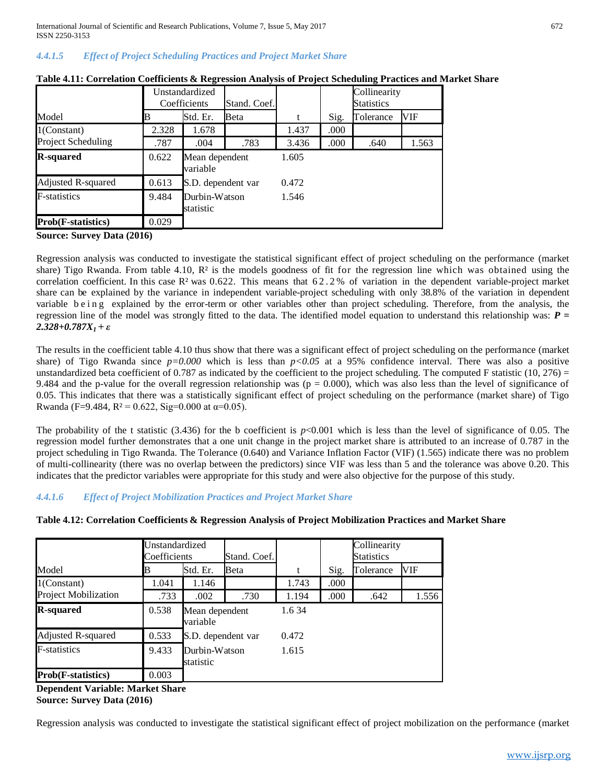International Journal of Scientific and Research Publications, Volume 7, Issue 5, May 2017 672 ISSN 2250-3153

## *4.4.1.5 Effect of Project Scheduling Practices and Project Market Share*

|                           |       | Unstandardized<br>Stand. Coef.<br>Coefficients |      |       |      | Collinearity<br><b>Statistics</b> |       |
|---------------------------|-------|------------------------------------------------|------|-------|------|-----------------------------------|-------|
| Model                     | B     | Std. Er.                                       | Beta | t     | Sig. | Tolerance                         | VIF   |
| $1$ (Constant)            | 2.328 | 1.678                                          |      | 1.437 | .000 |                                   |       |
| <b>Project Scheduling</b> | .787  | .004                                           | .783 | 3.436 | .000 | .640                              | 1.563 |
| <b>R-squared</b>          | 0.622 | Mean dependent<br>variable                     |      | 1.605 |      |                                   |       |
| Adjusted R-squared        | 0.613 | S.D. dependent var                             |      | 0.472 |      |                                   |       |
| <b>F</b> -statistics      | 9.484 | Durbin-Watson<br>statistic                     |      | 1.546 |      |                                   |       |
| <b>Prob(F-statistics)</b> | 0.029 |                                                |      |       |      |                                   |       |

| Table 4.11: Correlation Coefficients & Regression Analysis of Project Scheduling Practices and Market Share |  |  |
|-------------------------------------------------------------------------------------------------------------|--|--|
|                                                                                                             |  |  |
|                                                                                                             |  |  |
|                                                                                                             |  |  |

**Source: Survey Data (2016)**

Regression analysis was conducted to investigate the statistical significant effect of project scheduling on the performance (market share) Tigo Rwanda. From table 4.10,  $\mathbb{R}^2$  is the models goodness of fit for the regression line which was obtained using the correlation coefficient. In this case  $\mathbb{R}^2$  was 0.622. This means that 62.2% of variation in the dependent variable-project market share can be explained by the variance in independent variable-project scheduling with only 38.8% of the variation in dependent variable being explained by the error-term or other variables other than project scheduling. Therefore, from the analysis, the regression line of the model was strongly fitted to the data. The identified model equation to understand this relationship was: *P = 2.328+0.787X1 + ε*

The results in the coefficient table 4.10 thus show that there was a significant effect of project scheduling on the performance (market share) of Tigo Rwanda since *p=0.000* which is less than *p<0.05* at a 95% confidence interval. There was also a positive unstandardized beta coefficient of 0.787 as indicated by the coefficient to the project scheduling. The computed F statistic  $(10, 276)$  = 9.484 and the p-value for the overall regression relationship was ( $p = 0.000$ ), which was also less than the level of significance of 0.05. This indicates that there was a statistically significant effect of project scheduling on the performance (market share) of Tigo Rwanda (F=9.484, R<sup>2</sup> = 0.622, Sig=0.000 at  $\alpha$ =0.05).

The probability of the t statistic (3.436) for the b coefficient is  $p<0.001$  which is less than the level of significance of 0.05. The regression model further demonstrates that a one unit change in the project market share is attributed to an increase of 0.787 in the project scheduling in Tigo Rwanda. The Tolerance (0.640) and Variance Inflation Factor (VIF) (1.565) indicate there was no problem of multi-collinearity (there was no overlap between the predictors) since VIF was less than 5 and the tolerance was above 0.20. This indicates that the predictor variables were appropriate for this study and were also objective for the purpose of this study.

# *4.4.1.6 Effect of Project Mobilization Practices and Project Market Share*

| Table 4.12: Correlation Coefficients & Regression Analysis of Project Mobilization Practices and Market Share |  |  |  |  |
|---------------------------------------------------------------------------------------------------------------|--|--|--|--|
|---------------------------------------------------------------------------------------------------------------|--|--|--|--|

|                             | Unstandardized<br>Coefficients |                            | Stand. Coef.       |       |      | Collinearity<br><b>Statistics</b> |       |
|-----------------------------|--------------------------------|----------------------------|--------------------|-------|------|-----------------------------------|-------|
| Model                       |                                | Std. Er.                   | Beta               | t     | Sig. | Tolerance                         | VIF   |
| $1$ (Constant)              | 1.041                          | 1.146                      |                    | 1.743 | .000 |                                   |       |
| <b>Project Mobilization</b> | .733                           | .002                       | .730               | 1.194 | .000 | .642                              | 1.556 |
| <b>R-squared</b>            | 0.538                          | variable                   | Mean dependent     |       |      |                                   |       |
| Adjusted R-squared          | 0.533                          |                            | S.D. dependent var | 0.472 |      |                                   |       |
| <b>F</b> -statistics        | 9.433                          | Durbin-Watson<br>statistic |                    | 1.615 |      |                                   |       |
| <b>Prob(F-statistics)</b>   | 0.003                          |                            |                    |       |      |                                   |       |

**Dependent Variable: Market Share Source: Survey Data (2016)**

Regression analysis was conducted to investigate the statistical significant effect of project mobilization on the performance (market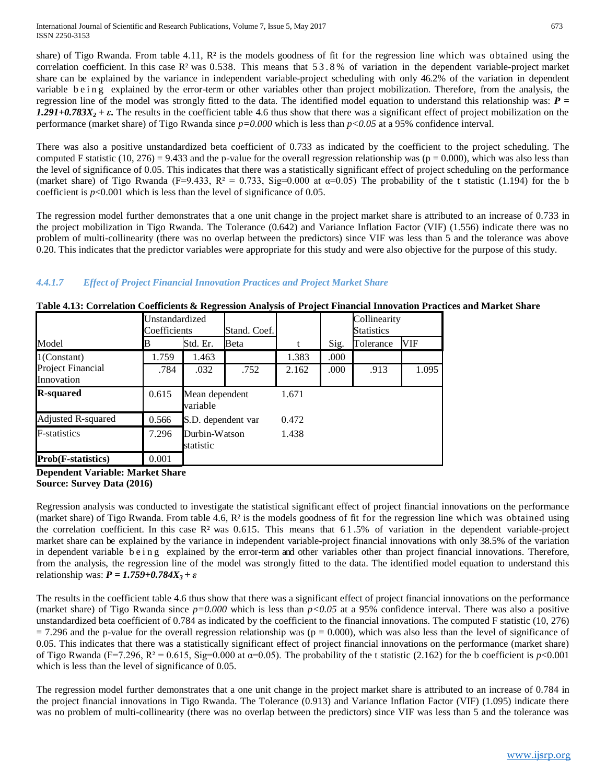share) of Tigo Rwanda. From table 4.11,  $\mathbb{R}^2$  is the models goodness of fit for the regression line which was obtained using the correlation coefficient. In this case  $\mathbb{R}^2$  was 0.538. This means that 53.8% of variation in the dependent variable-project market share can be explained by the variance in independent variable-project scheduling with only 46.2% of the variation in dependent variable b e i n g explained by the error-term or other variables other than project mobilization. Therefore, from the analysis, the regression line of the model was strongly fitted to the data. The identified model equation to understand this relationship was: *P =*   $1.291+0.783X_2 + \varepsilon$ . The results in the coefficient table 4.6 thus show that there was a significant effect of project mobilization on the performance (market share) of Tigo Rwanda since *p=0.000* which is less than *p<0.05* at a 95% confidence interval.

There was also a positive unstandardized beta coefficient of 0.733 as indicated by the coefficient to the project scheduling. The computed F statistic (10, 276) = 9.433 and the p-value for the overall regression relationship was ( $p = 0.000$ ), which was also less than the level of significance of 0.05. This indicates that there was a statistically significant effect of project scheduling on the performance (market share) of Tigo Rwanda (F=9.433, R<sup>2</sup> = 0.733, Sig=0.000 at  $\alpha$ =0.05) The probability of the t statistic (1.194) for the b coefficient is  $p<0.001$  which is less than the level of significance of 0.05.

The regression model further demonstrates that a one unit change in the project market share is attributed to an increase of 0.733 in the project mobilization in Tigo Rwanda. The Tolerance (0.642) and Variance Inflation Factor (VIF) (1.556) indicate there was no problem of multi-collinearity (there was no overlap between the predictors) since VIF was less than 5 and the tolerance was above 0.20. This indicates that the predictor variables were appropriate for this study and were also objective for the purpose of this study.

# *4.4.1.7 Effect of Project Financial Innovation Practices and Project Market Share*

|                                     | Unstandardized<br>Coefficients | Stand. Coef.               |                |       |      | Collinearity<br><b>Statistics</b> |       |
|-------------------------------------|--------------------------------|----------------------------|----------------|-------|------|-----------------------------------|-------|
| Model                               | B                              | Std. Er.                   | Beta           | t     | Sig. | Tolerance                         | VIF   |
| $1$ (Constant)                      | 1.759                          | 1.463                      |                | 1.383 | .000 |                                   |       |
| Project Financial<br>Innovation     | .784                           | .032                       | .752           | 2.162 | .000 | .913                              | 1.095 |
| <b>R-squared</b>                    | 0.615                          | variable                   | Mean dependent |       |      |                                   |       |
| Adjusted R-squared                  | 0.566                          | S.D. dependent var         |                | 0.472 |      |                                   |       |
| F-statistics                        | 7.296                          | Durbin-Watson<br>statistic |                | 1.438 |      |                                   |       |
| <b>Prob</b> ( <b>F</b> -statistics) | 0.001                          |                            |                |       |      |                                   |       |

**Table 4.13: Correlation Coefficients & Regression Analysis of Project Financial Innovation Practices and Market Share**

**Dependent Variable: Market Share**

**Source: Survey Data (2016)**

Regression analysis was conducted to investigate the statistical significant effect of project financial innovations on the performance (market share) of Tigo Rwanda. From table 4.6,  $R^2$  is the models goodness of fit for the regression line which was obtained using the correlation coefficient. In this case  $\mathbb{R}^2$  was 0.615. This means that 61.5% of variation in the dependent variable-project market share can be explained by the variance in independent variable-project financial innovations with only 38.5% of the variation in dependent variable being explained by the error-term and other variables other than project financial innovations. Therefore, from the analysis, the regression line of the model was strongly fitted to the data. The identified model equation to understand this relationship was: *P = 1.759+0.784X3 + ε*

The results in the coefficient table 4.6 thus show that there was a significant effect of project financial innovations on the performance (market share) of Tigo Rwanda since  $p=0.000$  which is less than  $p<0.05$  at a 95% confidence interval. There was also a positive unstandardized beta coefficient of 0.784 as indicated by the coefficient to the financial innovations. The computed F statistic (10, 276)  $= 7.296$  and the p-value for the overall regression relationship was ( $p = 0.000$ ), which was also less than the level of significance of 0.05. This indicates that there was a statistically significant effect of project financial innovations on the performance (market share) of Tigo Rwanda (F=7.296, R<sup>2</sup> = 0.615, Sig=0.000 at  $\alpha$ =0.05). The probability of the t statistic (2.162) for the b coefficient is *p*<0.001 which is less than the level of significance of 0.05.

The regression model further demonstrates that a one unit change in the project market share is attributed to an increase of 0.784 in the project financial innovations in Tigo Rwanda. The Tolerance (0.913) and Variance Inflation Factor (VIF) (1.095) indicate there was no problem of multi-collinearity (there was no overlap between the predictors) since VIF was less than 5 and the tolerance was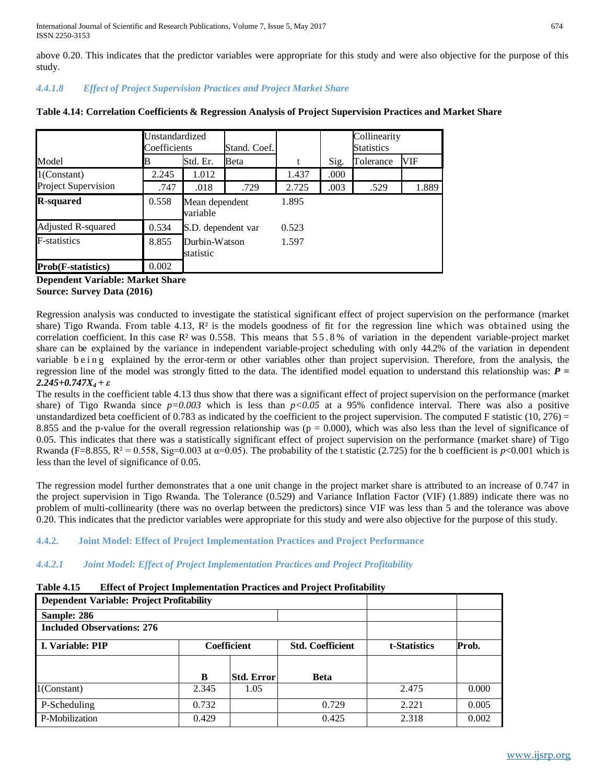above 0.20. This indicates that the predictor variables were appropriate for this study and were also objective for the purpose of this study.

# *4.4.1.8 Effect of Project Supervision Practices and Project Market Share*

|                                     | Unstandardized<br>Coefficients |                            | Stand. Coef. |       |      | Collinearity<br><b>Statistics</b> |       |
|-------------------------------------|--------------------------------|----------------------------|--------------|-------|------|-----------------------------------|-------|
| Model                               | в                              | Std. Er.                   | Beta         | t     | Sig. | Tolerance                         | VIF   |
| $1$ (Constant)                      | 2.245                          | 1.012                      |              | 1.437 | .000 |                                   |       |
| <b>Project Supervision</b>          | .747                           | .018                       | .729         | 2.725 | .003 | .529                              | 1.889 |
| <b>R-squared</b>                    | 0.558                          | Mean dependent<br>variable |              | 1.895 |      |                                   |       |
| Adjusted R-squared                  | 0.534                          | S.D. dependent var         |              | 0.523 |      |                                   |       |
| <b>F</b> -statistics                | 8.855                          | Durbin-Watson<br>statistic |              | 1.597 |      |                                   |       |
| <b>Prob</b> ( <b>F</b> -statistics) | 0.002                          |                            |              |       |      |                                   |       |

# **Table 4.14: Correlation Coefficients & Regression Analysis of Project Supervision Practices and Market Share**

**Dependent Variable: Market Share Source: Survey Data (2016)**

Regression analysis was conducted to investigate the statistical significant effect of project supervision on the performance (market share) Tigo Rwanda. From table 4.13,  $\mathbb{R}^2$  is the models goodness of fit for the regression line which was obtained using the correlation coefficient. In this case  $\mathbb{R}^2$  was 0.558. This means that 55.8% of variation in the dependent variable-project market share can be explained by the variance in independent variable-project scheduling with only 44.2% of the variation in dependent variable being explained by the error-term or other variables other than project supervision. Therefore, from the analysis, the regression line of the model was strongly fitted to the data. The identified model equation to understand this relationship was: *P = 2.245+0.747X4 + ε*

The results in the coefficient table 4.13 thus show that there was a significant effect of project supervision on the performance (market share) of Tigo Rwanda since *p=0.003* which is less than *p<0.05* at a 95% confidence interval. There was also a positive unstandardized beta coefficient of 0.783 as indicated by the coefficient to the project supervision. The computed F statistic  $(10, 276)$  = 8.855 and the p-value for the overall regression relationship was  $(p = 0.000)$ , which was also less than the level of significance of 0.05. This indicates that there was a statistically significant effect of project supervision on the performance (market share) of Tigo Rwanda (F=8.855, R<sup>2</sup> = 0.558, Sig=0.003 at  $\alpha$ =0.05). The probability of the t statistic (2.725) for the b coefficient is *p*<0.001 which is less than the level of significance of 0.05.

The regression model further demonstrates that a one unit change in the project market share is attributed to an increase of 0.747 in the project supervision in Tigo Rwanda. The Tolerance (0.529) and Variance Inflation Factor (VIF) (1.889) indicate there was no problem of multi-collinearity (there was no overlap between the predictors) since VIF was less than 5 and the tolerance was above 0.20. This indicates that the predictor variables were appropriate for this study and were also objective for the purpose of this study.

# **4.4.2. Joint Model: Effect of Project Implementation Practices and Project Performance**

# *4.4.2.1 Joint Model: Effect of Project Implementation Practices and Project Profitability*

# **Table 4.15 Effect of Project Implementation Practices and Project Profitability**

| <b>Dependent Variable: Project Profitability</b> |             |                   |                         |              |       |
|--------------------------------------------------|-------------|-------------------|-------------------------|--------------|-------|
| Sample: 286                                      |             |                   |                         |              |       |
| <b>Included Observations: 276</b>                |             |                   |                         |              |       |
| I. Variable: PIP                                 | Coefficient |                   | <b>Std. Coefficient</b> | t-Statistics | Prob. |
|                                                  |             |                   |                         |              |       |
|                                                  | B           | <b>Std. Error</b> | <b>Beta</b>             |              |       |
| $1$ (Constant)                                   | 2.345       | 1.05              |                         | 2.475        | 0.000 |
| P-Scheduling                                     | 0.732       |                   | 0.729                   | 2.221        | 0.005 |
| P-Mobilization                                   | 0.429       |                   | 0.425                   | 2.318        | 0.002 |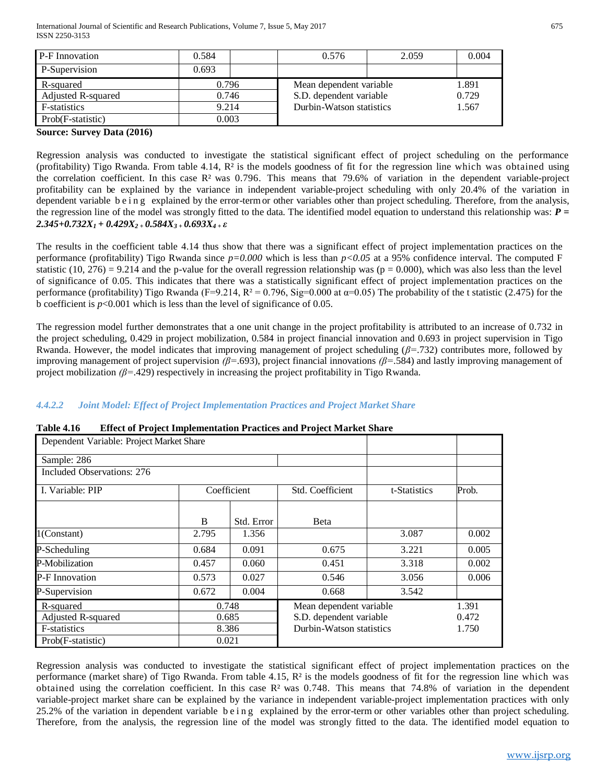| P-F Innovation     | 0.584 |  | 0.576                    | 2.059 | 0.004 |
|--------------------|-------|--|--------------------------|-------|-------|
| P-Supervision      | 0.693 |  |                          |       |       |
| R-squared          | 0.796 |  | Mean dependent variable  |       | 1.891 |
| Adjusted R-squared | 0.746 |  | S.D. dependent variable  |       | 0.729 |
| F-statistics       | 9.214 |  | Durbin-Watson statistics |       | 1.567 |
| Prob(F-statistic)  | 0.003 |  |                          |       |       |

#### **Source: Survey Data (2016)**

Regression analysis was conducted to investigate the statistical significant effect of project scheduling on the performance (profitability) Tigo Rwanda. From table 4.14, R² is the models goodness of fit for the regression line which was obtained using the correlation coefficient. In this case  $\mathbb{R}^2$  was 0.796. This means that 79.6% of variation in the dependent variable-project profitability can be explained by the variance in independent variable-project scheduling with only 20.4% of the variation in dependent variable b e i n g explained by the error-term or other variables other than project scheduling. Therefore, from the analysis, the regression line of the model was strongly fitted to the data. The identified model equation to understand this relationship was: *P = 2.345+0.732X1 + 0.429X2 + 0.584X3 + 0.693X4 + ε*

The results in the coefficient table 4.14 thus show that there was a significant effect of project implementation practices on the performance (profitability) Tigo Rwanda since *p=0.000* which is less than *p<0.05* at a 95% confidence interval. The computed F statistic (10, 276) = 9.214 and the p-value for the overall regression relationship was ( $p = 0.000$ ), which was also less than the level of significance of 0.05. This indicates that there was a statistically significant effect of project implementation practices on the performance (profitability) Tigo Rwanda (F=9.214, R<sup>2</sup> = 0.796, Sig=0.000 at  $\alpha$ =0.05) The probability of the t statistic (2.475) for the b coefficient is  $p<0.001$  which is less than the level of significance of 0.05.

The regression model further demonstrates that a one unit change in the project profitability is attributed to an increase of 0.732 in the project scheduling, 0.429 in project mobilization, 0.584 in project financial innovation and 0.693 in project supervision in Tigo Rwanda. However, the model indicates that improving management of project scheduling (*β=*.732) contributes more, followed by improving management of project supervision *(β=*.693), project financial innovations *(β=*.584) and lastly improving management of project mobilization *(β=*.429) respectively in increasing the project profitability in Tigo Rwanda.

# *4.4.2.2 Joint Model: Effect of Project Implementation Practices and Project Market Share*

| Dependent Variable: Project Market Share |              |             |                          |              |       |
|------------------------------------------|--------------|-------------|--------------------------|--------------|-------|
| Sample: 286                              |              |             |                          |              |       |
| Included Observations: 276               |              |             |                          |              |       |
| I. Variable: PIP                         |              | Coefficient | Std. Coefficient         | t-Statistics | Prob. |
|                                          | <sub>B</sub> | Std. Error  | Beta                     |              |       |
| $1$ (Constant)                           | 2.795        | 1.356       |                          | 3.087        | 0.002 |
| P-Scheduling                             | 0.684        | 0.091       | 0.675                    | 3.221        | 0.005 |
| P-Mobilization                           | 0.457        | 0.060       | 0.451                    | 3.318        | 0.002 |
| <b>P-F</b> Innovation                    | 0.573        | 0.027       | 0.546                    | 3.056        | 0.006 |
| P-Supervision                            | 0.672        | 0.004       | 0.668                    | 3.542        |       |
| R-squared                                |              | 0.748       | Mean dependent variable  |              | 1.391 |
| Adjusted R-squared                       |              | 0.685       | S.D. dependent variable  |              | 0.472 |
| F-statistics                             |              | 8.386       | Durbin-Watson statistics |              | 1.750 |
| Prob(F-statistic)                        |              | 0.021       |                          |              |       |

| <b>Table 4.16</b> | <b>Effect of Project Implementation Practices and Project Market Share</b> |
|-------------------|----------------------------------------------------------------------------|
|-------------------|----------------------------------------------------------------------------|

Regression analysis was conducted to investigate the statistical significant effect of project implementation practices on the performance (market share) of Tigo Rwanda. From table 4.15,  $R<sup>2</sup>$  is the models goodness of fit for the regression line which was obtained using the correlation coefficient. In this case  $\mathbb{R}^2$  was 0.748. This means that 74.8% of variation in the dependent variable-project market share can be explained by the variance in independent variable-project implementation practices with only 25.2% of the variation in dependent variable being explained by the error-term or other variables other than project scheduling. Therefore, from the analysis, the regression line of the model was strongly fitted to the data. The identified model equation to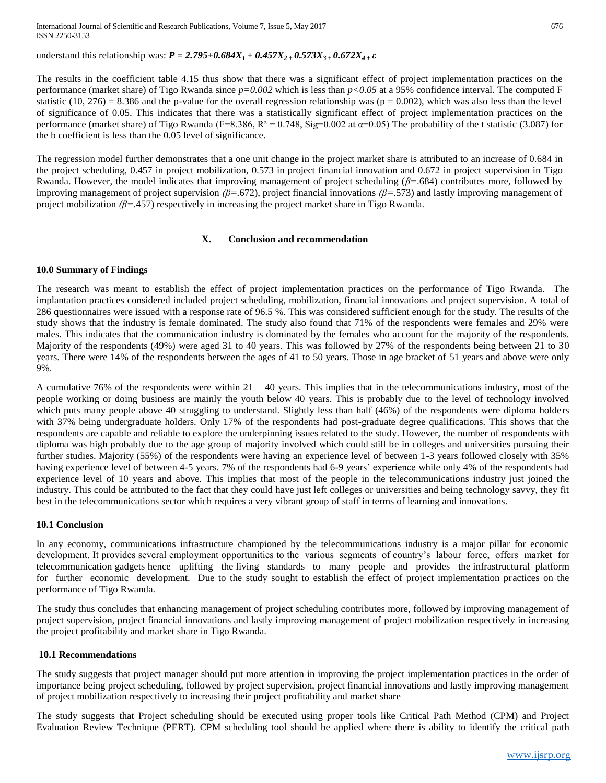understand this relationship was:  $P = 2.795 + 0.684X<sub>1</sub> + 0.457X<sub>2</sub> + 0.573X<sub>3</sub> + 0.672X<sub>4</sub> + \varepsilon$ 

The results in the coefficient table 4.15 thus show that there was a significant effect of project implementation practices on the performance (market share) of Tigo Rwanda since *p=0.002* which is less than *p<0.05* at a 95% confidence interval. The computed F statistic (10, 276) = 8.386 and the p-value for the overall regression relationship was ( $p = 0.002$ ), which was also less than the level of significance of 0.05. This indicates that there was a statistically significant effect of project implementation practices on the performance (market share) of Tigo Rwanda (F=8.386, R<sup>2</sup> = 0.748, Sig=0.002 at  $\alpha$ =0.05) The probability of the t statistic (3.087) for the b coefficient is less than the 0.05 level of significance.

The regression model further demonstrates that a one unit change in the project market share is attributed to an increase of 0.684 in the project scheduling, 0.457 in project mobilization, 0.573 in project financial innovation and 0.672 in project supervision in Tigo Rwanda. However, the model indicates that improving management of project scheduling (*β=*.684) contributes more, followed by improving management of project supervision *(β=*.672), project financial innovations *(β=*.573) and lastly improving management of project mobilization *(β=*.457) respectively in increasing the project market share in Tigo Rwanda.

#### **X. Conclusion and recommendation**

#### **10.0 Summary of Findings**

The research was meant to establish the effect of project implementation practices on the performance of Tigo Rwanda. The implantation practices considered included project scheduling, mobilization, financial innovations and project supervision. A total of 286 questionnaires were issued with a response rate of 96.5 %. This was considered sufficient enough for the study. The results of the study shows that the industry is female dominated. The study also found that 71% of the respondents were females and 29% were males. This indicates that the communication industry is dominated by the females who account for the majority of the respondents. Majority of the respondents (49%) were aged 31 to 40 years. This was followed by 27% of the respondents being between 21 to 30 years. There were 14% of the respondents between the ages of 41 to 50 years. Those in age bracket of 51 years and above were only 9%.

A cumulative  $76\%$  of the respondents were within  $21 - 40$  years. This implies that in the telecommunications industry, most of the people working or doing business are mainly the youth below 40 years. This is probably due to the level of technology involved which puts many people above 40 struggling to understand. Slightly less than half (46%) of the respondents were diploma holders with 37% being undergraduate holders. Only 17% of the respondents had post-graduate degree qualifications. This shows that the respondents are capable and reliable to explore the underpinning issues related to the study. However, the number of respondents with diploma was high probably due to the age group of majority involved which could still be in colleges and universities pursuing their further studies. Majority (55%) of the respondents were having an experience level of between 1-3 years followed closely with 35% having experience level of between 4-5 years. 7% of the respondents had 6-9 years' experience while only 4% of the respondents had experience level of 10 years and above. This implies that most of the people in the telecommunications industry just joined the industry. This could be attributed to the fact that they could have just left colleges or universities and being technology savvy, they fit best in the telecommunications sector which requires a very vibrant group of staff in terms of learning and innovations.

#### **10.1 Conclusion**

In any economy, communications infrastructure championed by the telecommunications industry is a major pillar for economic development. It provides several employment opportunities to the various segments of country's labour force, offers market for telecommunication gadgets hence uplifting the living standards to many people and provides the infrastructural platform for further economic development. Due to the study sought to establish the effect of project implementation practices on the performance of Tigo Rwanda.

The study thus concludes that enhancing management of project scheduling contributes more, followed by improving management of project supervision, project financial innovations and lastly improving management of project mobilization respectively in increasing the project profitability and market share in Tigo Rwanda.

#### **10.1 Recommendations**

The study suggests that project manager should put more attention in improving the project implementation practices in the order of importance being project scheduling, followed by project supervision, project financial innovations and lastly improving management of project mobilization respectively to increasing their project profitability and market share

The study suggests that Project scheduling should be executed using proper tools like Critical Path Method (CPM) and Project Evaluation Review Technique (PERT). CPM scheduling tool should be applied where there is ability to identify the critical path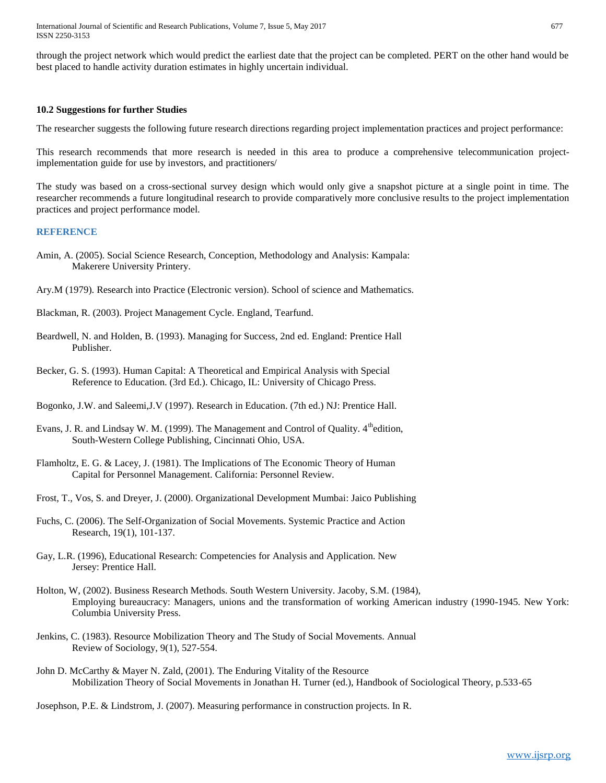through the project network which would predict the earliest date that the project can be completed. PERT on the other hand would be best placed to handle activity duration estimates in highly uncertain individual.

#### **10.2 Suggestions for further Studies**

The researcher suggests the following future research directions regarding project implementation practices and project performance:

This research recommends that more research is needed in this area to produce a comprehensive telecommunication projectimplementation guide for use by investors, and practitioners/

The study was based on a cross-sectional survey design which would only give a snapshot picture at a single point in time. The researcher recommends a future longitudinal research to provide comparatively more conclusive results to the project implementation practices and project performance model.

#### **REFERENCE**

- Amin, A. (2005). Social Science Research, Conception, Methodology and Analysis: Kampala: Makerere University Printery.
- Ary.M (1979). Research into Practice (Electronic version). School of science and Mathematics.
- Blackman, R. (2003). Project Management Cycle. England, Tearfund.
- Beardwell, N. and Holden, B. (1993). Managing for Success, 2nd ed. England: Prentice Hall Publisher.
- Becker, G. S. (1993). Human Capital: A Theoretical and Empirical Analysis with Special Reference to Education. (3rd Ed.). Chicago, IL: University of Chicago Press.
- Bogonko, J.W. and Saleemi,J.V (1997). Research in Education. (7th ed.) NJ: Prentice Hall.
- Evans, J. R. and Lindsay W. M. (1999). The Management and Control of Quality.  $4^{\text{th}}$ edition, South-Western College Publishing, Cincinnati Ohio, USA.
- Flamholtz, E. G. & Lacey, J. (1981). The Implications of The Economic Theory of Human Capital for Personnel Management. California: Personnel Review.
- Frost, T., Vos, S. and Dreyer, J. (2000). Organizational Development Mumbai: Jaico Publishing
- Fuchs, C. (2006). The Self-Organization of Social Movements. Systemic Practice and Action Research, 19(1), 101-137.
- Gay, L.R. (1996), Educational Research: Competencies for Analysis and Application. New Jersey: Prentice Hall.
- Holton, W, (2002). Business Research Methods. South Western University. Jacoby, S.M. (1984), Employing bureaucracy: Managers, unions and the transformation of working American industry (1990-1945. New York: Columbia University Press.
- Jenkins, C. (1983). Resource Mobilization Theory and The Study of Social Movements. Annual Review of Sociology, 9(1), 527-554.
- John D. McCarthy & Mayer N. Zald, (2001). The Enduring Vitality of the Resource Mobilization Theory of Social Movements in Jonathan H. Turner (ed.), Handbook of Sociological Theory, p.533-65

Josephson, P.E. & Lindstrom, J. (2007). Measuring performance in construction projects. In R.